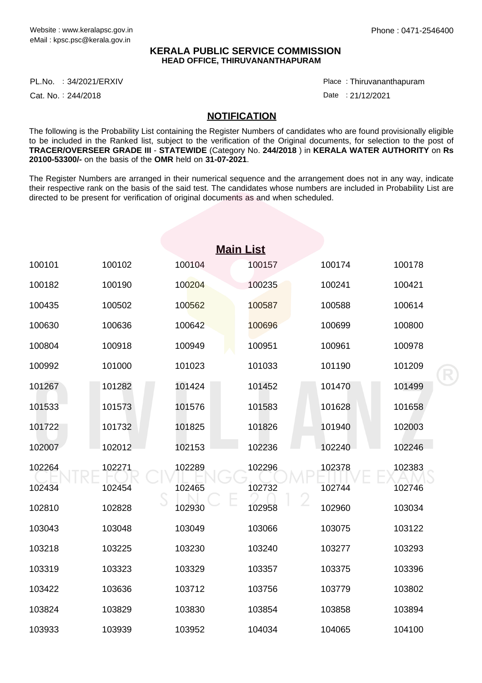## **KERALA PUBLIC SERVICE COMMISSION HEAD OFFICE, THIRUVANANTHAPURAM**

PL.No. :34/2021/ERXIV Provided a series of the series of the series of the series of the series of the series

Cat. No.: 244/2018

Thiruvananthapuram :

Date: 21/12/2021

## **NOTIFICATION**

The following is the Probability List containing the Register Numbers of candidates who are found provisionally eligible to be included in the Ranked list, subject to the verification of the Original documents, for selection to the post of **TRACER/OVERSEER GRADE III** - **STATEWIDE** (Category No. **244/2018** ) in **KERALA WATER AUTHORITY** on **Rs 20100-53300/-** on the basis of the **OMR** held on **31-07-2021**.

The Register Numbers are arranged in their numerical sequence and the arrangement does not in any way, indicate their respective rank on the basis of the said test. The candidates whose numbers are included in Probability List are directed to be present for verification of original documents as and when scheduled.

| <b>Main List</b> |        |        |        |        |        |  |  |  |  |
|------------------|--------|--------|--------|--------|--------|--|--|--|--|
| 100101           | 100102 | 100104 | 100157 | 100174 | 100178 |  |  |  |  |
| 100182           | 100190 | 100204 | 100235 | 100241 | 100421 |  |  |  |  |
| 100435           | 100502 | 100562 | 100587 | 100588 | 100614 |  |  |  |  |
| 100630           | 100636 | 100642 | 100696 | 100699 | 100800 |  |  |  |  |
| 100804           | 100918 | 100949 | 100951 | 100961 | 100978 |  |  |  |  |
| 100992           | 101000 | 101023 | 101033 | 101190 | 101209 |  |  |  |  |
| 101267           | 101282 | 101424 | 101452 | 101470 | 101499 |  |  |  |  |
| 101533           | 101573 | 101576 | 101583 | 101628 | 101658 |  |  |  |  |
| 101722           | 101732 | 101825 | 101826 | 101940 | 102003 |  |  |  |  |
| 102007           | 102012 | 102153 | 102236 | 102240 | 102246 |  |  |  |  |
| 102264           | 102271 | 102289 | 102296 | 102378 | 102383 |  |  |  |  |
| 102434           | 102454 | 102465 | 102732 | 102744 | 102746 |  |  |  |  |
| 102810           | 102828 | 102930 | 102958 | 102960 | 103034 |  |  |  |  |
| 103043           | 103048 | 103049 | 103066 | 103075 | 103122 |  |  |  |  |
| 103218           | 103225 | 103230 | 103240 | 103277 | 103293 |  |  |  |  |
| 103319           | 103323 | 103329 | 103357 | 103375 | 103396 |  |  |  |  |
| 103422           | 103636 | 103712 | 103756 | 103779 | 103802 |  |  |  |  |
| 103824           | 103829 | 103830 | 103854 | 103858 | 103894 |  |  |  |  |
| 103933           | 103939 | 103952 | 104034 | 104065 | 104100 |  |  |  |  |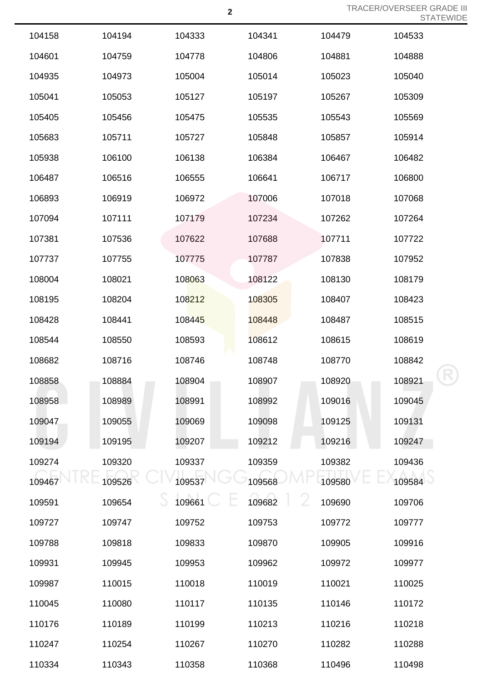|        |        |        |             |        | 5 I A I E |
|--------|--------|--------|-------------|--------|-----------|
| 104158 | 104194 | 104333 | 104341      | 104479 | 104533    |
| 104601 | 104759 | 104778 | 104806      | 104881 | 104888    |
| 104935 | 104973 | 105004 | 105014      | 105023 | 105040    |
| 105041 | 105053 | 105127 | 105197      | 105267 | 105309    |
| 105405 | 105456 | 105475 | 105535      | 105543 | 105569    |
| 105683 | 105711 | 105727 | 105848      | 105857 | 105914    |
| 105938 | 106100 | 106138 | 106384      | 106467 | 106482    |
| 106487 | 106516 | 106555 | 106641      | 106717 | 106800    |
| 106893 | 106919 | 106972 | 107006      | 107018 | 107068    |
| 107094 | 107111 | 107179 | 107234      | 107262 | 107264    |
| 107381 | 107536 | 107622 | 107688      | 107711 | 107722    |
| 107737 | 107755 | 107775 | 107787      | 107838 | 107952    |
| 108004 | 108021 | 108063 | 108122      | 108130 | 108179    |
| 108195 | 108204 | 108212 | 108305      | 108407 | 108423    |
| 108428 | 108441 | 108445 | 108448      | 108487 | 108515    |
| 108544 | 108550 | 108593 | 108612      | 108615 | 108619    |
| 108682 | 108716 | 108746 | 108748      | 108770 | 108842    |
| 108858 | 108884 | 108904 | 108907      | 108920 | 108921    |
| 108958 | 108989 | 108991 | 108992      | 109016 | 109045    |
| 109047 | 109055 | 109069 | 109098      | 109125 | 109131    |
| 109194 | 109195 | 109207 | 109212      | 109216 | 109247    |
| 109274 | 109320 | 109337 | 109359      | 109382 | 109436    |
| 109467 | 109526 | 109537 | 109568      | 109580 | 109584    |
| 109591 | 109654 | 109661 | Z<br>109682 | 109690 | 109706    |
| 109727 | 109747 | 109752 | 109753      | 109772 | 109777    |
| 109788 | 109818 | 109833 | 109870      | 109905 | 109916    |
| 109931 | 109945 | 109953 | 109962      | 109972 | 109977    |
| 109987 | 110015 | 110018 | 110019      | 110021 | 110025    |
| 110045 | 110080 | 110117 | 110135      | 110146 | 110172    |
| 110176 | 110189 | 110199 | 110213      | 110216 | 110218    |
| 110247 | 110254 | 110267 | 110270      | 110282 | 110288    |
| 110334 | 110343 | 110358 | 110368      | 110496 | 110498    |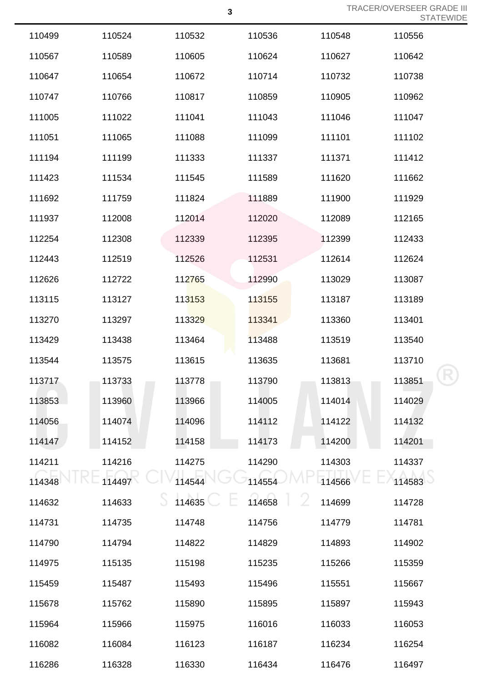|        |        |        |        |        | <b>SIAIL</b> |
|--------|--------|--------|--------|--------|--------------|
| 110499 | 110524 | 110532 | 110536 | 110548 | 110556       |
| 110567 | 110589 | 110605 | 110624 | 110627 | 110642       |
| 110647 | 110654 | 110672 | 110714 | 110732 | 110738       |
| 110747 | 110766 | 110817 | 110859 | 110905 | 110962       |
| 111005 | 111022 | 111041 | 111043 | 111046 | 111047       |
| 111051 | 111065 | 111088 | 111099 | 111101 | 111102       |
| 111194 | 111199 | 111333 | 111337 | 111371 | 111412       |
| 111423 | 111534 | 111545 | 111589 | 111620 | 111662       |
| 111692 | 111759 | 111824 | 111889 | 111900 | 111929       |
| 111937 | 112008 | 112014 | 112020 | 112089 | 112165       |
| 112254 | 112308 | 112339 | 112395 | 112399 | 112433       |
| 112443 | 112519 | 112526 | 112531 | 112614 | 112624       |
| 112626 | 112722 | 112765 | 112990 | 113029 | 113087       |
| 113115 | 113127 | 113153 | 113155 | 113187 | 113189       |
| 113270 | 113297 | 113329 | 113341 | 113360 | 113401       |
| 113429 | 113438 | 113464 | 113488 | 113519 | 113540       |
| 113544 | 113575 | 113615 | 113635 | 113681 | 113710       |
| 113717 | 113733 | 113778 | 113790 | 113813 | 113851       |
| 113853 | 113960 | 113966 | 114005 | 114014 | 114029       |
| 114056 | 114074 | 114096 | 114112 | 114122 | 114132       |
| 114147 | 114152 | 114158 | 114173 | 114200 | 114201       |
| 114211 | 114216 | 114275 | 114290 | 114303 | 114337       |
| 114348 | 114497 | 114544 | 114554 | 114566 | 114583       |
| 114632 | 114633 | 114635 | 114658 | 114699 | 114728       |
| 114731 | 114735 | 114748 | 114756 | 114779 | 114781       |
| 114790 | 114794 | 114822 | 114829 | 114893 | 114902       |
| 114975 | 115135 | 115198 | 115235 | 115266 | 115359       |
| 115459 | 115487 | 115493 | 115496 | 115551 | 115667       |
| 115678 | 115762 | 115890 | 115895 | 115897 | 115943       |
| 115964 | 115966 | 115975 | 116016 | 116033 | 116053       |
| 116082 | 116084 | 116123 | 116187 | 116234 | 116254       |
| 116286 | 116328 | 116330 | 116434 | 116476 | 116497       |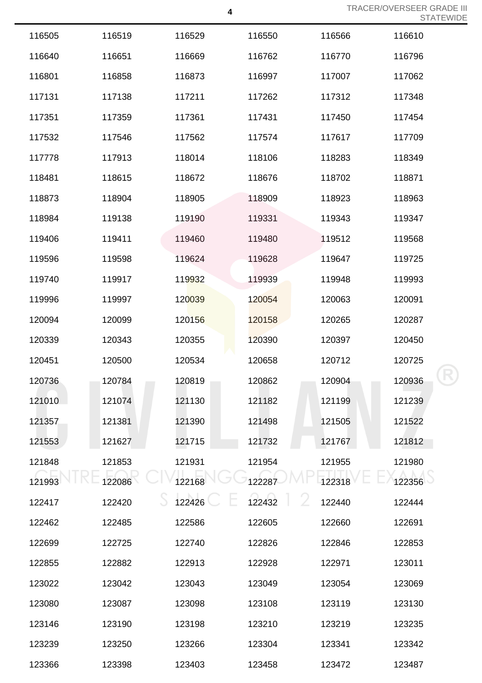|        |        |        |        |        | ◡ ╷┌╮ ╷ ∟ |
|--------|--------|--------|--------|--------|-----------|
| 116505 | 116519 | 116529 | 116550 | 116566 | 116610    |
| 116640 | 116651 | 116669 | 116762 | 116770 | 116796    |
| 116801 | 116858 | 116873 | 116997 | 117007 | 117062    |
| 117131 | 117138 | 117211 | 117262 | 117312 | 117348    |
| 117351 | 117359 | 117361 | 117431 | 117450 | 117454    |
| 117532 | 117546 | 117562 | 117574 | 117617 | 117709    |
| 117778 | 117913 | 118014 | 118106 | 118283 | 118349    |
| 118481 | 118615 | 118672 | 118676 | 118702 | 118871    |
| 118873 | 118904 | 118905 | 118909 | 118923 | 118963    |
| 118984 | 119138 | 119190 | 119331 | 119343 | 119347    |
| 119406 | 119411 | 119460 | 119480 | 119512 | 119568    |
| 119596 | 119598 | 119624 | 119628 | 119647 | 119725    |
| 119740 | 119917 | 119932 | 119939 | 119948 | 119993    |
| 119996 | 119997 | 120039 | 120054 | 120063 | 120091    |
| 120094 | 120099 | 120156 | 120158 | 120265 | 120287    |
| 120339 | 120343 | 120355 | 120390 | 120397 | 120450    |
| 120451 | 120500 | 120534 | 120658 | 120712 | 120725    |
| 120736 | 120784 | 120819 | 120862 | 120904 | 120936    |
| 121010 | 121074 | 121130 | 121182 | 121199 | 121239    |
| 121357 | 121381 | 121390 | 121498 | 121505 | 121522    |
| 121553 | 121627 | 121715 | 121732 | 121767 | 121812    |
| 121848 | 121853 | 121931 | 121954 | 121955 | 121980    |
| 121993 | 122086 | 122168 | 122287 | 122318 | 122356    |
| 122417 | 122420 | 122426 | 122432 | 122440 | 122444    |
| 122462 | 122485 | 122586 | 122605 | 122660 | 122691    |
| 122699 | 122725 | 122740 | 122826 | 122846 | 122853    |
| 122855 | 122882 | 122913 | 122928 | 122971 | 123011    |
| 123022 | 123042 | 123043 | 123049 | 123054 | 123069    |
| 123080 | 123087 | 123098 | 123108 | 123119 | 123130    |
| 123146 | 123190 | 123198 | 123210 | 123219 | 123235    |
| 123239 | 123250 | 123266 | 123304 | 123341 | 123342    |
| 123366 | 123398 | 123403 | 123458 | 123472 | 123487    |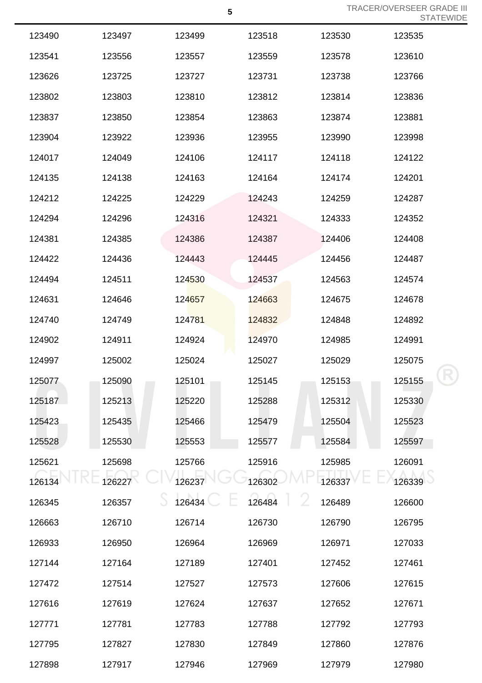| 123490 | 123497 | 123499 | 123518 | 123530 | 123535 |
|--------|--------|--------|--------|--------|--------|
| 123541 | 123556 | 123557 | 123559 | 123578 | 123610 |
| 123626 | 123725 | 123727 | 123731 | 123738 | 123766 |
| 123802 | 123803 | 123810 | 123812 | 123814 | 123836 |
| 123837 | 123850 | 123854 | 123863 | 123874 | 123881 |
| 123904 | 123922 | 123936 | 123955 | 123990 | 123998 |
| 124017 | 124049 | 124106 | 124117 | 124118 | 124122 |
| 124135 | 124138 | 124163 | 124164 | 124174 | 124201 |
| 124212 | 124225 | 124229 | 124243 | 124259 | 124287 |
| 124294 | 124296 | 124316 | 124321 | 124333 | 124352 |
| 124381 | 124385 | 124386 | 124387 | 124406 | 124408 |
| 124422 | 124436 | 124443 | 124445 | 124456 | 124487 |
| 124494 | 124511 | 124530 | 124537 | 124563 | 124574 |
| 124631 | 124646 | 124657 | 124663 | 124675 | 124678 |
| 124740 | 124749 | 124781 | 124832 | 124848 | 124892 |
| 124902 | 124911 | 124924 | 124970 | 124985 | 124991 |
| 124997 | 125002 | 125024 | 125027 | 125029 | 125075 |
| 125077 | 125090 | 125101 | 125145 | 125153 | 125155 |
| 125187 | 125213 | 125220 | 125288 | 125312 | 125330 |
| 125423 | 125435 | 125466 | 125479 | 125504 | 125523 |
| 125528 | 125530 | 125553 | 125577 | 125584 | 125597 |
| 125621 | 125698 | 125766 | 125916 | 125985 | 126091 |
| 126134 | 126227 | 126237 | 126302 | 126337 | 126339 |
| 126345 | 126357 | 126434 | 126484 | 126489 | 126600 |
| 126663 | 126710 | 126714 | 126730 | 126790 | 126795 |
| 126933 | 126950 | 126964 | 126969 | 126971 | 127033 |
| 127144 | 127164 | 127189 | 127401 | 127452 | 127461 |
| 127472 | 127514 | 127527 | 127573 | 127606 | 127615 |
| 127616 | 127619 | 127624 | 127637 | 127652 | 127671 |
| 127771 | 127781 | 127783 | 127788 | 127792 | 127793 |
| 127795 | 127827 | 127830 | 127849 | 127860 | 127876 |
| 127898 | 127917 | 127946 | 127969 | 127979 | 127980 |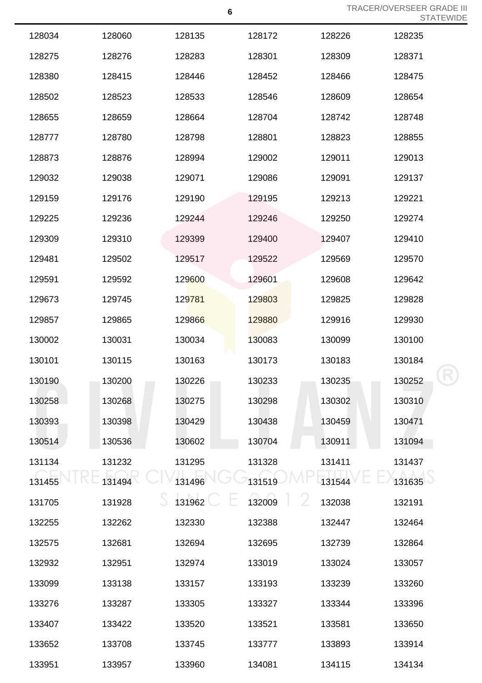|        |        |        |        |        | _______ |
|--------|--------|--------|--------|--------|---------|
| 128034 | 128060 | 128135 | 128172 | 128226 | 128235  |
| 128275 | 128276 | 128283 | 128301 | 128309 | 128371  |
| 128380 | 128415 | 128446 | 128452 | 128466 | 128475  |
| 128502 | 128523 | 128533 | 128546 | 128609 | 128654  |
| 128655 | 128659 | 128664 | 128704 | 128742 | 128748  |
| 128777 | 128780 | 128798 | 128801 | 128823 | 128855  |
| 128873 | 128876 | 128994 | 129002 | 129011 | 129013  |
| 129032 | 129038 | 129071 | 129086 | 129091 | 129137  |
| 129159 | 129176 | 129190 | 129195 | 129213 | 129221  |
| 129225 | 129236 | 129244 | 129246 | 129250 | 129274  |
| 129309 | 129310 | 129399 | 129400 | 129407 | 129410  |
| 129481 | 129502 | 129517 | 129522 | 129569 | 129570  |
| 129591 | 129592 | 129600 | 129601 | 129608 | 129642  |
| 129673 | 129745 | 129781 | 129803 | 129825 | 129828  |
| 129857 | 129865 | 129866 | 129880 | 129916 | 129930  |
| 130002 | 130031 | 130034 | 130083 | 130099 | 130100  |
| 130101 | 130115 | 130163 | 130173 | 130183 | 130184  |
| 130190 | 130200 | 130226 | 130233 | 130235 | 130252  |
| 130258 | 130268 | 130275 | 130298 | 130302 | 130310  |
| 130393 | 130398 | 130429 | 130438 | 130459 | 130471  |
| 130514 | 130536 | 130602 | 130704 | 130911 | 131094  |
| 131134 | 131232 | 131295 | 131328 | 131411 | 131437  |
| 131455 | 131494 | 131496 | 131519 | 131544 | 131635  |
| 131705 | 131928 | 131962 | 132009 | 132038 | 132191  |
| 132255 | 132262 | 132330 | 132388 | 132447 | 132464  |
| 132575 | 132681 | 132694 | 132695 | 132739 | 132864  |
| 132932 | 132951 | 132974 | 133019 | 133024 | 133057  |
| 133099 | 133138 | 133157 | 133193 | 133239 | 133260  |
| 133276 | 133287 | 133305 | 133327 | 133344 | 133396  |
| 133407 | 133422 | 133520 | 133521 | 133581 | 133650  |
| 133652 | 133708 | 133745 | 133777 | 133893 | 133914  |
| 133951 | 133957 | 133960 | 134081 | 134115 | 134134  |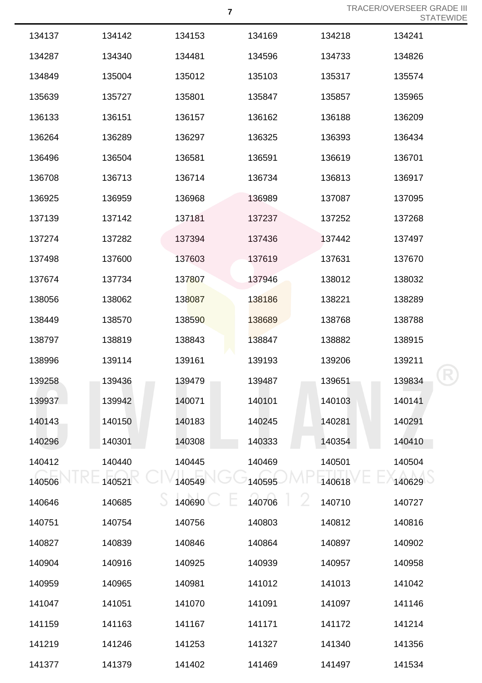| 134137 | 134142 | 134153 | 134169 | 134218 | 134241 |
|--------|--------|--------|--------|--------|--------|
| 134287 | 134340 | 134481 | 134596 | 134733 | 134826 |
| 134849 | 135004 | 135012 | 135103 | 135317 | 135574 |
| 135639 | 135727 | 135801 | 135847 | 135857 | 135965 |
| 136133 | 136151 | 136157 | 136162 | 136188 | 136209 |
| 136264 | 136289 | 136297 | 136325 | 136393 | 136434 |
| 136496 | 136504 | 136581 | 136591 | 136619 | 136701 |
| 136708 | 136713 | 136714 | 136734 | 136813 | 136917 |
| 136925 | 136959 | 136968 | 136989 | 137087 | 137095 |
| 137139 | 137142 | 137181 | 137237 | 137252 | 137268 |
| 137274 | 137282 | 137394 | 137436 | 137442 | 137497 |
| 137498 | 137600 | 137603 | 137619 | 137631 | 137670 |
| 137674 | 137734 | 137807 | 137946 | 138012 | 138032 |
| 138056 | 138062 | 138087 | 138186 | 138221 | 138289 |
| 138449 | 138570 | 138590 | 138689 | 138768 | 138788 |
| 138797 | 138819 | 138843 | 138847 | 138882 | 138915 |
| 138996 | 139114 | 139161 | 139193 | 139206 | 139211 |
| 139258 | 139436 | 139479 | 139487 | 139651 | 139834 |
| 139937 | 139942 | 140071 | 140101 | 140103 | 140141 |
| 140143 | 140150 | 140183 | 140245 | 140281 | 140291 |
| 140296 | 140301 | 140308 | 140333 | 140354 | 140410 |
| 140412 | 140440 | 140445 | 140469 | 140501 | 140504 |
| 140506 | 140521 | 140549 | 140595 | 140618 | 140629 |
| 140646 | 140685 | 140690 | 140706 | 140710 | 140727 |
| 140751 | 140754 | 140756 | 140803 | 140812 | 140816 |
| 140827 | 140839 | 140846 | 140864 | 140897 | 140902 |
| 140904 | 140916 | 140925 | 140939 | 140957 | 140958 |
| 140959 | 140965 | 140981 | 141012 | 141013 | 141042 |
| 141047 | 141051 | 141070 | 141091 | 141097 | 141146 |
| 141159 | 141163 | 141167 | 141171 | 141172 | 141214 |
| 141219 | 141246 | 141253 | 141327 | 141340 | 141356 |
| 141377 | 141379 | 141402 | 141469 | 141497 | 141534 |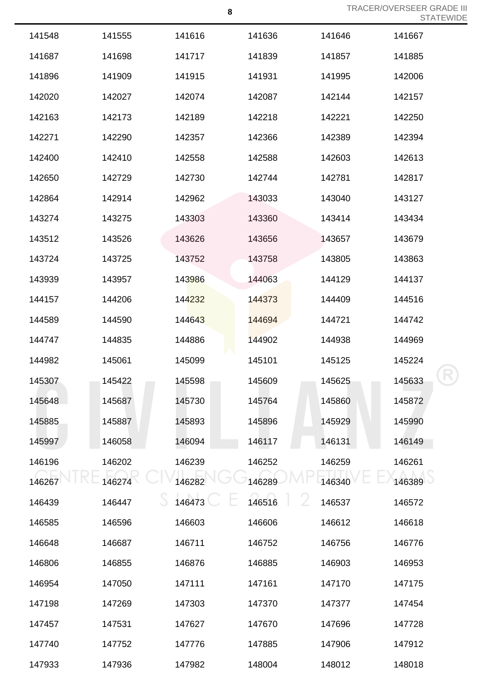|        |        |        |        |        | ◡ ╷┌╮ ╷ ∟ |
|--------|--------|--------|--------|--------|-----------|
| 141548 | 141555 | 141616 | 141636 | 141646 | 141667    |
| 141687 | 141698 | 141717 | 141839 | 141857 | 141885    |
| 141896 | 141909 | 141915 | 141931 | 141995 | 142006    |
| 142020 | 142027 | 142074 | 142087 | 142144 | 142157    |
| 142163 | 142173 | 142189 | 142218 | 142221 | 142250    |
| 142271 | 142290 | 142357 | 142366 | 142389 | 142394    |
| 142400 | 142410 | 142558 | 142588 | 142603 | 142613    |
| 142650 | 142729 | 142730 | 142744 | 142781 | 142817    |
| 142864 | 142914 | 142962 | 143033 | 143040 | 143127    |
| 143274 | 143275 | 143303 | 143360 | 143414 | 143434    |
| 143512 | 143526 | 143626 | 143656 | 143657 | 143679    |
| 143724 | 143725 | 143752 | 143758 | 143805 | 143863    |
| 143939 | 143957 | 143986 | 144063 | 144129 | 144137    |
| 144157 | 144206 | 144232 | 144373 | 144409 | 144516    |
| 144589 | 144590 | 144643 | 144694 | 144721 | 144742    |
| 144747 | 144835 | 144886 | 144902 | 144938 | 144969    |
| 144982 | 145061 | 145099 | 145101 | 145125 | 145224    |
| 145307 | 145422 | 145598 | 145609 | 145625 | 145633    |
| 145648 | 145687 | 145730 | 145764 | 145860 | 145872    |
| 145885 | 145887 | 145893 | 145896 | 145929 | 145990    |
| 145997 | 146058 | 146094 | 146117 | 146131 | 146149    |
| 146196 | 146202 | 146239 | 146252 | 146259 | 146261    |
| 146267 | 146274 | 146282 | 146289 | 146340 | 146389    |
| 146439 | 146447 | 146473 | 146516 | 146537 | 146572    |
| 146585 | 146596 | 146603 | 146606 | 146612 | 146618    |
| 146648 | 146687 | 146711 | 146752 | 146756 | 146776    |
| 146806 | 146855 | 146876 | 146885 | 146903 | 146953    |
| 146954 | 147050 | 147111 | 147161 | 147170 | 147175    |
| 147198 | 147269 | 147303 | 147370 | 147377 | 147454    |
| 147457 | 147531 | 147627 | 147670 | 147696 | 147728    |
| 147740 | 147752 | 147776 | 147885 | 147906 | 147912    |
| 147933 | 147936 | 147982 | 148004 | 148012 | 148018    |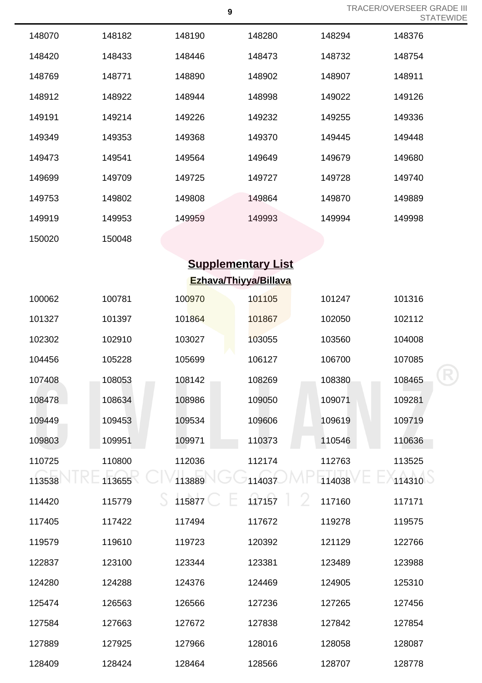$\bm{\mathsf{R}}$ 

| 148070 | 148182 | 148190 | 148280                    | 148294                  | 148376 |
|--------|--------|--------|---------------------------|-------------------------|--------|
| 148420 | 148433 | 148446 | 148473                    | 148732                  | 148754 |
| 148769 | 148771 | 148890 | 148902                    | 148907                  | 148911 |
| 148912 | 148922 | 148944 | 148998                    | 149022                  | 149126 |
| 149191 | 149214 | 149226 | 149232                    | 149255                  | 149336 |
| 149349 | 149353 | 149368 | 149370                    | 149445                  | 149448 |
| 149473 | 149541 | 149564 | 149649                    | 149679                  | 149680 |
| 149699 | 149709 | 149725 | 149727                    | 149728                  | 149740 |
| 149753 | 149802 | 149808 | 149864                    | 149870                  | 149889 |
| 149919 | 149953 | 149959 | 149993                    | 149994                  | 149998 |
| 150020 | 150048 |        |                           |                         |        |
|        |        |        | <b>Supplementary List</b> |                         |        |
|        |        |        | Ezhava/Thiyya/Billava     |                         |        |
| 100062 | 100781 | 100970 | 101105                    | 101247                  | 101316 |
| 101327 | 101397 | 101864 | 101867                    | 102050                  | 102112 |
| 102302 | 102910 | 103027 | 103055                    | 103560                  | 104008 |
| 104456 | 105228 | 105699 | 106127                    | 106700                  | 107085 |
| 107408 | 108053 | 108142 | 108269                    | 108380                  | 108465 |
| 108478 | 108634 | 108986 | 109050                    | 109071                  | 109281 |
| 109449 | 109453 | 109534 | 109606                    | 109619                  | 109719 |
| 109803 | 109951 | 109971 | 110373                    | 110546                  | 110636 |
| 110725 | 110800 | 112036 | 112174                    | 112763                  | 113525 |
| 113538 | 113655 | 113889 | 114037                    | 114038                  | 114310 |
| 114420 | 115779 | 115877 | 117157                    | $\mathcal{L}$<br>117160 | 117171 |
| 117405 | 117422 | 117494 | 117672                    | 119278                  | 119575 |
| 119579 | 119610 | 119723 | 120392                    | 121129                  | 122766 |
| 122837 | 123100 | 123344 | 123381                    | 123489                  | 123988 |
| 124280 | 124288 | 124376 | 124469                    | 124905                  | 125310 |
| 125474 | 126563 | 126566 | 127236                    | 127265                  | 127456 |
| 127584 | 127663 | 127672 | 127838                    | 127842                  | 127854 |
| 127889 | 127925 | 127966 | 128016                    | 128058                  | 128087 |
| 128409 | 128424 | 128464 | 128566                    | 128707                  | 128778 |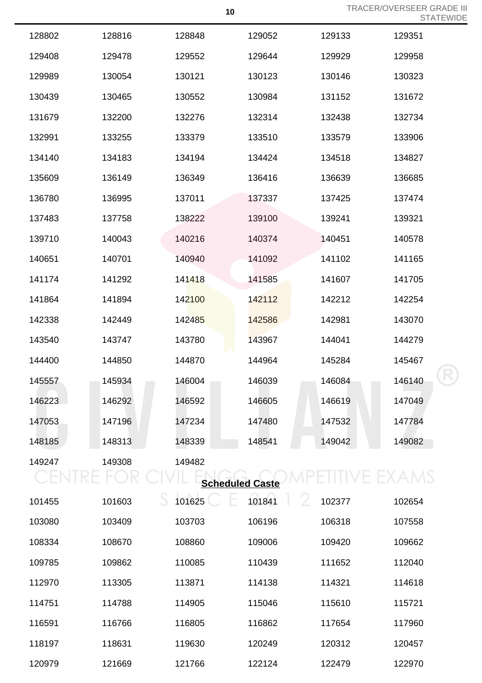|        |        |                        |        |        | ◡ <sub>╹</sub> / ┐ ៲ ∟ |
|--------|--------|------------------------|--------|--------|------------------------|
| 128802 | 128816 | 128848                 | 129052 | 129133 | 129351                 |
| 129408 | 129478 | 129552                 | 129644 | 129929 | 129958                 |
| 129989 | 130054 | 130121                 | 130123 | 130146 | 130323                 |
| 130439 | 130465 | 130552                 | 130984 | 131152 | 131672                 |
| 131679 | 132200 | 132276                 | 132314 | 132438 | 132734                 |
| 132991 | 133255 | 133379                 | 133510 | 133579 | 133906                 |
| 134140 | 134183 | 134194                 | 134424 | 134518 | 134827                 |
| 135609 | 136149 | 136349                 | 136416 | 136639 | 136685                 |
| 136780 | 136995 | 137011                 | 137337 | 137425 | 137474                 |
| 137483 | 137758 | 138222                 | 139100 | 139241 | 139321                 |
| 139710 | 140043 | 140216                 | 140374 | 140451 | 140578                 |
| 140651 | 140701 | 140940                 | 141092 | 141102 | 141165                 |
| 141174 | 141292 | 141418                 | 141585 | 141607 | 141705                 |
| 141864 | 141894 | 142100                 | 142112 | 142212 | 142254                 |
| 142338 | 142449 | 142485                 | 142586 | 142981 | 143070                 |
| 143540 | 143747 | 143780                 | 143967 | 144041 | 144279                 |
| 144400 | 144850 | 144870                 | 144964 | 145284 | 145467                 |
| 145557 | 145934 | 146004                 | 146039 | 146084 | 146140                 |
| 146223 | 146292 | 146592                 | 146605 | 146619 | 147049                 |
| 147053 | 147196 | 147234                 | 147480 | 147532 | 147784                 |
| 148185 | 148313 | 148339                 | 148541 | 149042 | 149082                 |
| 149247 | 149308 | 149482                 |        |        |                        |
|        |        | <b>Scheduled Caste</b> |        |        |                        |
| 101455 | 101603 | 101625                 | 101841 | 102377 | 102654                 |

| 101455 | 101603 | 101625 | 101841 | 102377 | 102654 |
|--------|--------|--------|--------|--------|--------|
| 103080 | 103409 | 103703 | 106196 | 106318 | 107558 |
| 108334 | 108670 | 108860 | 109006 | 109420 | 109662 |
| 109785 | 109862 | 110085 | 110439 | 111652 | 112040 |
| 112970 | 113305 | 113871 | 114138 | 114321 | 114618 |
| 114751 | 114788 | 114905 | 115046 | 115610 | 115721 |
| 116591 | 116766 | 116805 | 116862 | 117654 | 117960 |
| 118197 | 118631 | 119630 | 120249 | 120312 | 120457 |
| 120979 | 121669 | 121766 | 122124 | 122479 | 122970 |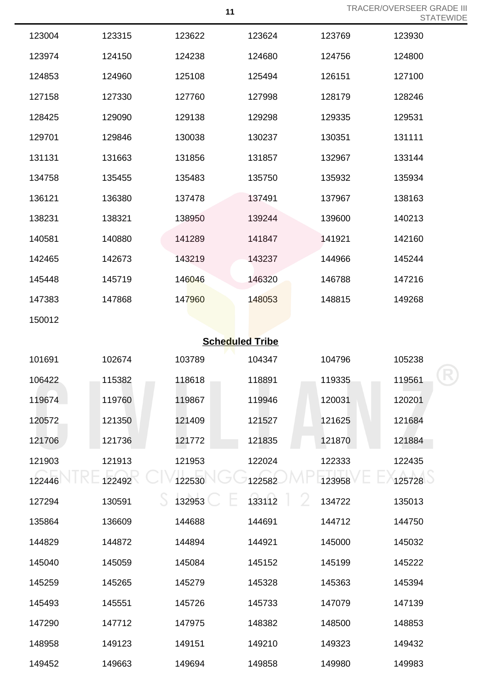|        |        |        |                        |             | SIAI   |
|--------|--------|--------|------------------------|-------------|--------|
| 123004 | 123315 | 123622 | 123624                 | 123769      | 123930 |
| 123974 | 124150 | 124238 | 124680                 | 124756      | 124800 |
| 124853 | 124960 | 125108 | 125494                 | 126151      | 127100 |
| 127158 | 127330 | 127760 | 127998                 | 128179      | 128246 |
| 128425 | 129090 | 129138 | 129298                 | 129335      | 129531 |
| 129701 | 129846 | 130038 | 130237                 | 130351      | 131111 |
| 131131 | 131663 | 131856 | 131857                 | 132967      | 133144 |
| 134758 | 135455 | 135483 | 135750                 | 135932      | 135934 |
| 136121 | 136380 | 137478 | 137491                 | 137967      | 138163 |
| 138231 | 138321 | 138950 | 139244                 | 139600      | 140213 |
| 140581 | 140880 | 141289 | 141847                 | 141921      | 142160 |
| 142465 | 142673 | 143219 | 143237                 | 144966      | 145244 |
| 145448 | 145719 | 146046 | 146320                 | 146788      | 147216 |
| 147383 | 147868 | 147960 | 148053                 | 148815      | 149268 |
| 150012 |        |        |                        |             |        |
|        |        |        | <b>Scheduled Tribe</b> |             |        |
| 101691 | 102674 | 103789 | 104347                 | 104796      | 105238 |
| 106422 | 115382 | 118618 | 118891                 | 119335      | 119561 |
| 119674 | 119760 | 119867 | 119946                 | 120031      | 120201 |
| 120572 | 121350 | 121409 | 121527                 | 121625      | 121684 |
| 121706 | 121736 | 121772 | 121835                 | 121870      | 121884 |
| 121903 | 121913 | 121953 | 122024                 | 122333      | 122435 |
| 122446 | 122492 | 122530 | 122582                 | 123958      | 125728 |
| 127294 | 130591 | 132953 | 133112                 | 2<br>134722 | 135013 |
| 135864 | 136609 | 144688 | 144691                 | 144712      | 144750 |
| 144829 | 144872 | 144894 | 144921                 | 145000      | 145032 |
| 145040 | 145059 | 145084 | 145152                 | 145199      | 145222 |

149123 149151 149210 149323 149432

149663 149694 149858 149980 149983

 145265 145279 145328 145363 145394 145551 145726 145733 147079 147139 147712 147975 148382 148500 148853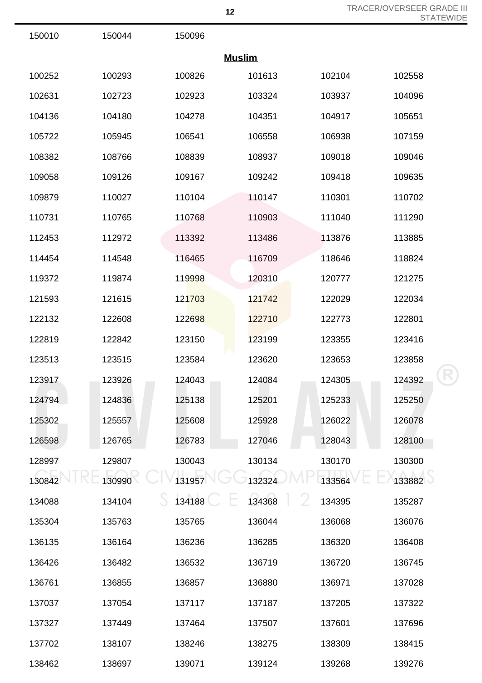| 150010        | 150044 | 150096 |        |        |        |  |
|---------------|--------|--------|--------|--------|--------|--|
| <b>Muslim</b> |        |        |        |        |        |  |
| 100252        | 100293 | 100826 | 101613 | 102104 | 102558 |  |
| 102631        | 102723 | 102923 | 103324 | 103937 | 104096 |  |
| 104136        | 104180 | 104278 | 104351 | 104917 | 105651 |  |
| 105722        | 105945 | 106541 | 106558 | 106938 | 107159 |  |
| 108382        | 108766 | 108839 | 108937 | 109018 | 109046 |  |
| 109058        | 109126 | 109167 | 109242 | 109418 | 109635 |  |
| 109879        | 110027 | 110104 | 110147 | 110301 | 110702 |  |
| 110731        | 110765 | 110768 | 110903 | 111040 | 111290 |  |
| 112453        | 112972 | 113392 | 113486 | 113876 | 113885 |  |
| 114454        | 114548 | 116465 | 116709 | 118646 | 118824 |  |
| 119372        | 119874 | 119998 | 120310 | 120777 | 121275 |  |
| 121593        | 121615 | 121703 | 121742 | 122029 | 122034 |  |
| 122132        | 122608 | 122698 | 122710 | 122773 | 122801 |  |
| 122819        | 122842 | 123150 | 123199 | 123355 | 123416 |  |
| 123513        | 123515 | 123584 | 123620 | 123653 | 123858 |  |
| 123917        | 123926 | 124043 | 124084 | 124305 | 124392 |  |
| 124794        | 124836 | 125138 | 125201 | 125233 | 125250 |  |
| 125302        | 125557 | 125608 | 125928 | 126022 | 126078 |  |
| 126598        | 126765 | 126783 | 127046 | 128043 | 128100 |  |
| 128997        | 129807 | 130043 | 130134 | 130170 | 130300 |  |
| 130842        | 130990 | 131957 | 132324 | 133564 | 133882 |  |
| 134088        | 134104 | 134188 | 134368 | 134395 | 135287 |  |
| 135304        | 135763 | 135765 | 136044 | 136068 | 136076 |  |
| 136135        | 136164 | 136236 | 136285 | 136320 | 136408 |  |
| 136426        | 136482 | 136532 | 136719 | 136720 | 136745 |  |
| 136761        | 136855 | 136857 | 136880 | 136971 | 137028 |  |
| 137037        | 137054 | 137117 | 137187 | 137205 | 137322 |  |
| 137327        | 137449 | 137464 | 137507 | 137601 | 137696 |  |
| 137702        | 138107 | 138246 | 138275 | 138309 | 138415 |  |

138697 139071 139124 139268 139276

 $\sqrt{6}$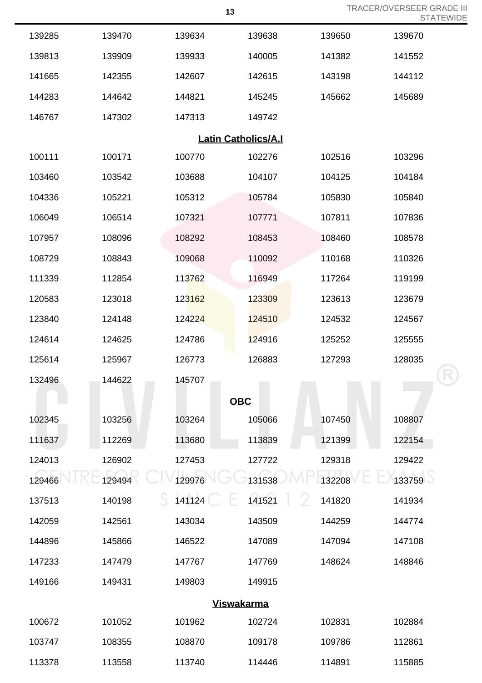|                            |        |            |        |        | 5 I A I E V |  |  |
|----------------------------|--------|------------|--------|--------|-------------|--|--|
| 139285                     | 139470 | 139634     | 139638 | 139650 | 139670      |  |  |
| 139813                     | 139909 | 139933     | 140005 | 141382 | 141552      |  |  |
| 141665                     | 142355 | 142607     | 142615 | 143198 | 144112      |  |  |
| 144283                     | 144642 | 144821     | 145245 | 145662 | 145689      |  |  |
| 146767                     | 147302 | 147313     | 149742 |        |             |  |  |
| <b>Latin Catholics/A.I</b> |        |            |        |        |             |  |  |
| 100111                     | 100171 | 100770     | 102276 | 102516 | 103296      |  |  |
| 103460                     | 103542 | 103688     | 104107 | 104125 | 104184      |  |  |
| 104336                     | 105221 | 105312     | 105784 | 105830 | 105840      |  |  |
| 106049                     | 106514 | 107321     | 107771 | 107811 | 107836      |  |  |
| 107957                     | 108096 | 108292     | 108453 | 108460 | 108578      |  |  |
| 108729                     | 108843 | 109068     | 110092 | 110168 | 110326      |  |  |
| 111339                     | 112854 | 113762     | 116949 | 117264 | 119199      |  |  |
| 120583                     | 123018 | 123162     | 123309 | 123613 | 123679      |  |  |
| 123840                     | 124148 | 124224     | 124510 | 124532 | 124567      |  |  |
| 124614                     | 124625 | 124786     | 124916 | 125252 | 125555      |  |  |
| 125614                     | 125967 | 126773     | 126883 | 127293 | 128035      |  |  |
| 132496                     | 144622 | 145707     |        |        |             |  |  |
|                            |        | <b>OBC</b> |        |        |             |  |  |
| 102345                     | 103256 | 103264     | 105066 | 107450 | 108807      |  |  |
| 111637                     | 112269 | 113680     | 113839 | 121399 | 122154      |  |  |
| 124013                     | 126902 | 127453     | 127722 | 129318 | 129422      |  |  |
| 129466                     | 129494 | 129976     | 131538 | 132208 | 133759      |  |  |
| 137513                     | 140198 | 141124     | 141521 | 141820 | 141934      |  |  |
| 142059                     | 142561 | 143034     | 143509 | 144259 | 144774      |  |  |
| 144896                     | 145866 | 146522     | 147089 | 147094 | 147108      |  |  |
| 147233                     | 147479 | 147767     | 147769 | 148624 | 148846      |  |  |
| 149166                     | 149431 | 149803     | 149915 |        |             |  |  |
| <u>Viswakarma</u>          |        |            |        |        |             |  |  |
| 100672                     | 101052 | 101962     | 102724 | 102831 | 102884      |  |  |
| 103747                     | 108355 | 108870     | 109178 | 109786 | 112861      |  |  |
| 113378                     | 113558 | 113740     | 114446 | 114891 | 115885      |  |  |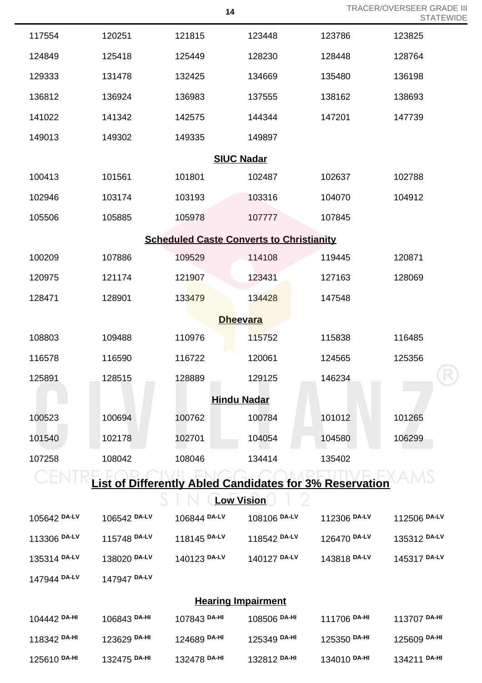|                                                                | 14           |              |                    |              | <b>TRACER/OVERSEER GRADE III</b><br><b>STATEWIDE</b> |  |  |
|----------------------------------------------------------------|--------------|--------------|--------------------|--------------|------------------------------------------------------|--|--|
| 117554                                                         | 120251       | 121815       | 123448             | 123786       | 123825                                               |  |  |
| 124849                                                         | 125418       | 125449       | 128230             | 128448       | 128764                                               |  |  |
| 129333                                                         | 131478       | 132425       | 134669             | 135480       | 136198                                               |  |  |
| 136812                                                         | 136924       | 136983       | 137555             | 138162       | 138693                                               |  |  |
| 141022                                                         | 141342       | 142575       | 144344             | 147201       | 147739                                               |  |  |
| 149013                                                         | 149302       | 149335       | 149897             |              |                                                      |  |  |
| <b>SIUC Nadar</b>                                              |              |              |                    |              |                                                      |  |  |
| 100413                                                         | 101561       | 101801       | 102487             | 102637       | 102788                                               |  |  |
| 102946                                                         | 103174       | 103193       | 103316             | 104070       | 104912                                               |  |  |
| 105506                                                         | 105885       | 105978       | 107777             | 107845       |                                                      |  |  |
| <b>Scheduled Caste Converts to Christianity</b>                |              |              |                    |              |                                                      |  |  |
| 100209                                                         | 107886       | 109529       | 114108             | 119445       | 120871                                               |  |  |
| 120975                                                         | 121174       | 121907       | 123431             | 127163       | 128069                                               |  |  |
| 128471                                                         | 128901       | 133479       | 134428             | 147548       |                                                      |  |  |
|                                                                |              |              | <b>Dheevara</b>    |              |                                                      |  |  |
| 108803                                                         | 109488       | 110976       | 115752             | 115838       | 116485                                               |  |  |
| 116578                                                         | 116590       | 116722       | 120061             | 124565       | 125356                                               |  |  |
| 125891                                                         | 128515       | 128889       | 129125             | 146234       |                                                      |  |  |
|                                                                |              |              | <b>Hindu Nadar</b> |              |                                                      |  |  |
| 100523                                                         | 100694       | 100762       | 100784             | 101012       | 101265                                               |  |  |
| 101540                                                         | 102178       | 102701       | 104054             | 104580       | 106299                                               |  |  |
| 107258                                                         | 108042       | 108046       | 134414             | 135402       |                                                      |  |  |
| <b>List of Differently Abled Candidates for 3% Reservation</b> |              |              |                    |              |                                                      |  |  |
| <b>Low Vision</b>                                              |              |              |                    |              |                                                      |  |  |
| 105642 DA-LV                                                   | 106542 DA-LV | 106844 DA-LV | 108106 DA-LV       | 112306 DA-LV | 112506 DA-LV                                         |  |  |
| 113306 DA-LV                                                   | 115748 DA-LV | 118145 DA-LV | 118542 DA-LV       | 126470 DA-LV | 135312 DA-LV                                         |  |  |
| 135314 DA-LV                                                   | 138020 DA-LV | 140123 DA-LV | 140127 DA-LV       | 143818 DA-LV | 145317 DA-LV                                         |  |  |
| 147944 DA-LV                                                   | 147947 DA-LV |              |                    |              |                                                      |  |  |
| <b>Hearing Impairment</b>                                      |              |              |                    |              |                                                      |  |  |
| 104442 DA-HI                                                   | 106843 DA-HI | 107843 DA-HI | 108506 DA-HI       | 111706 DA-HI | 113707 DA-HI                                         |  |  |
| 118342 DA-HI                                                   | 123629 DA-HI | 124689 DA-HI | 125349 DA-HI       | 125350 DA-HI | 125609 DA-HI                                         |  |  |
| 125610 DA-HI                                                   | 132475 DA-HI | 132478 DA-HI | 132812 DA-HI       | 134010 DA-HI | 134211 DA-HI                                         |  |  |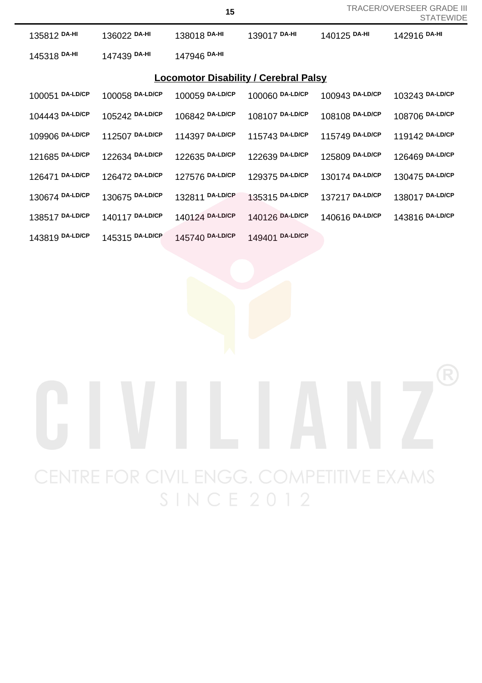| 135812 DA-HI                                 | 136022 DA-HI    | 138018 DA-HI    | 139017 DA-HI    | 140125 DA-HI    | 142916 DA-HI    |  |
|----------------------------------------------|-----------------|-----------------|-----------------|-----------------|-----------------|--|
| 145318 DA-HI                                 | 147439 DA-HI    | 147946 DA-HI    |                 |                 |                 |  |
| <b>Locomotor Disability / Cerebral Palsy</b> |                 |                 |                 |                 |                 |  |
| 100051 DA-LD/CP                              | 100058 DA-LD/CP | 100059 DA-LD/CP | 100060 DA-LD/CP | 100943 DA-LD/CP | 103243 DA-LD/CP |  |
| 104443 DA-LD/CP                              | 105242 DA-LD/CP | 106842 DA-LD/CP | 108107 DA-LD/CP | 108108 DA-LD/CP | 108706 DA-LD/CP |  |
| 109906 DA-LD/CP                              | 112507 DA-LD/CP | 114397 DA-LD/CP | 115743 DA-LD/CP | 115749 DA-LD/CP | 119142 DA-LD/CP |  |
| 121685 DA-LD/CP                              | 122634 DA-LD/CP | 122635 DA-LD/CP | 122639 DA-LD/CP | 125809 DA-LD/CP | 126469 DA-LD/CP |  |
| 126471 DA-LD/CP                              | 126472 DA-LD/CP | 127576 DA-LD/CP | 129375 DA-LD/CP | 130174 DA-LD/CP | 130475 DA-LD/CP |  |
| 130674 DA-LD/CP                              | 130675 DA-LD/CP | 132811 DA-LD/CP | 135315 DA-LD/CP | 137217 DA-LD/CP | 138017 DA-LD/CP |  |
| 138517 DA-LD/CP                              | 140117 DA-LD/CP | 140124 DA-LD/CP | 140126 DA-LD/CP | 140616 DA-LD/CP | 143816 DA-LD/CP |  |
| 143819 DA-LD/CP                              | 145315 DA-LD/CP | 145740 DA-LD/CP | 149401 DA-LD/CP |                 |                 |  |

## CENTRE FOR CIVIL ENGG. COMPETITIVE EXAMS **SINCE 2012**